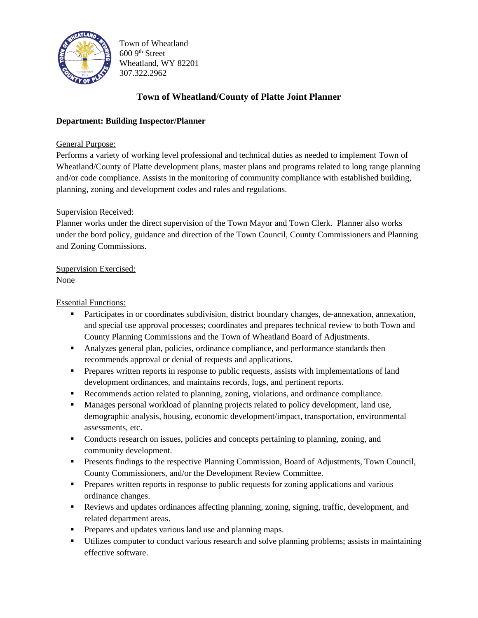

Town of Wheatland  $6009<sup>th</sup> Street$ Wheatland, WY 82201 307.322.2962

# **Town of Wheatland/County of Platte Joint Planner**

### **Department: Building Inspector/Planner**

#### General Purpose:

Performs a variety of working level professional and technical duties as needed to implement Town of Wheatland/County of Platte development plans, master plans and programs related to long range planning and/or code compliance. Assists in the monitoring of community compliance with established building, planning, zoning and development codes and rules and regulations.

#### Supervision Received:

Planner works under the direct supervision of the Town Mayor and Town Clerk. Planner also works under the bord policy, guidance and direction of the Town Council, County Commissioners and Planning and Zoning Commissions.

#### Supervision Exercised: None

Essential Functions:

- Participates in or coordinates subdivision, district boundary changes, de-annexation, annexation, and special use approval processes; coordinates and prepares technical review to both Town and County Planning Commissions and the Town of Wheatland Board of Adjustments.
- **Analyzes general plan, policies, ordinance compliance, and performance standards then** recommends approval or denial of requests and applications.
- **•** Prepares written reports in response to public requests, assists with implementations of land development ordinances, and maintains records, logs, and pertinent reports.
- Recommends action related to planning, zoning, violations, and ordinance compliance.
- **■** Manages personal workload of planning projects related to policy development, land use, demographic analysis, housing, economic development/impact, transportation, environmental assessments, etc.
- Conducts research on issues, policies and concepts pertaining to planning, zoning, and community development.
- **Presents findings to the respective Planning Commission, Board of Adjustments, Town Council,** County Commissioners, and/or the Development Review Committee.
- **•** Prepares written reports in response to public requests for zoning applications and various ordinance changes.
- Reviews and updates ordinances affecting planning, zoning, signing, traffic, development, and related department areas.
- **•** Prepares and updates various land use and planning maps.
- Utilizes computer to conduct various research and solve planning problems; assists in maintaining effective software.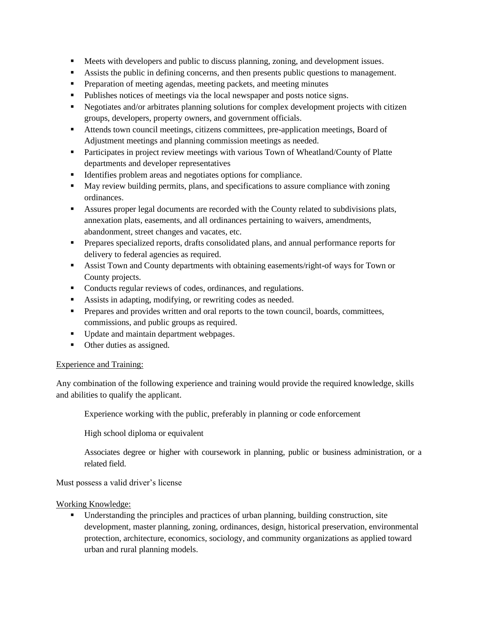- **EXECUTE:** Meets with developers and public to discuss planning, zoning, and development issues.
- Assists the public in defining concerns, and then presents public questions to management.
- **•** Preparation of meeting agendas, meeting packets, and meeting minutes
- Publishes notices of meetings via the local newspaper and posts notice signs.
- **•** Negotiates and/or arbitrates planning solutions for complex development projects with citizen groups, developers, property owners, and government officials.
- Attends town council meetings, citizens committees, pre-application meetings, Board of Adjustment meetings and planning commission meetings as needed.
- **•** Participates in project review meetings with various Town of Wheatland/County of Platte departments and developer representatives
- Identifies problem areas and negotiates options for compliance.
- **May review building permits, plans, and specifications to assure compliance with zoning** ordinances.
- Assures proper legal documents are recorded with the County related to subdivisions plats, annexation plats, easements, and all ordinances pertaining to waivers, amendments, abandonment, street changes and vacates, etc.
- Prepares specialized reports, drafts consolidated plans, and annual performance reports for delivery to federal agencies as required.
- **EXECUTE:** Assist Town and County departments with obtaining easements/right-of ways for Town or County projects.
- Conducts regular reviews of codes, ordinances, and regulations.
- Assists in adapting, modifying, or rewriting codes as needed.
- **•** Prepares and provides written and oral reports to the town council, boards, committees, commissions, and public groups as required.
- Update and maintain department webpages.
- Other duties as assigned.

#### Experience and Training:

Any combination of the following experience and training would provide the required knowledge, skills and abilities to qualify the applicant.

Experience working with the public, preferably in planning or code enforcement

High school diploma or equivalent

Associates degree or higher with coursework in planning, public or business administration, or a related field.

Must possess a valid driver's license

Working Knowledge:

▪ Understanding the principles and practices of urban planning, building construction, site development, master planning, zoning, ordinances, design, historical preservation, environmental protection, architecture, economics, sociology, and community organizations as applied toward urban and rural planning models.